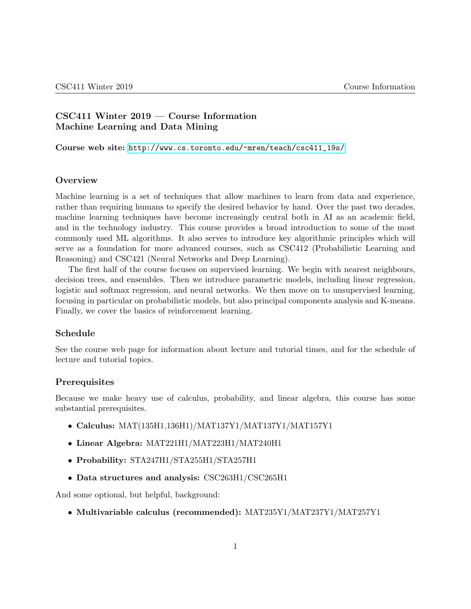# CSC411 Winter 2019 — Course Information Machine Learning and Data Mining

Course web site: [http://www.cs.toronto.edu/~mren/teach/csc411\\_19s/](http://www.cs.toronto.edu/~mren/teach/csc411_19s/)

### **Overview**

Machine learning is a set of techniques that allow machines to learn from data and experience, rather than requiring humans to specify the desired behavior by hand. Over the past two decades, machine learning techniques have become increasingly central both in AI as an academic field, and in the technology industry. This course provides a broad introduction to some of the most commonly used ML algorithms. It also serves to introduce key algorithmic principles which will serve as a foundation for more advanced courses, such as CSC412 (Probabilistic Learning and Reasoning) and CSC421 (Neural Networks and Deep Learning).

The first half of the course focuses on supervised learning. We begin with nearest neighbours, decision trees, and ensembles. Then we introduce parametric models, including linear regression, logistic and softmax regression, and neural networks. We then move on to unsupervised learning, focusing in particular on probabilistic models, but also principal components analysis and K-means. Finally, we cover the basics of reinforcement learning.

### Schedule

See the course web page for information about lecture and tutorial times, and for the schedule of lecture and tutorial topics.

### **Prerequisites**

Because we make heavy use of calculus, probability, and linear algebra, this course has some substantial prerequisites.

- Calculus: MAT(135H1,136H1)/MAT137Y1/MAT137Y1/MAT157Y1
- Linear Algebra: MAT221H1/MAT223H1/MAT240H1
- Probability: STA247H1/STA255H1/STA257H1
- Data structures and analysis: CSC263H1/CSC265H1

And some optional, but helpful, background:

• Multivariable calculus (recommended): MAT235Y1/MAT237Y1/MAT257Y1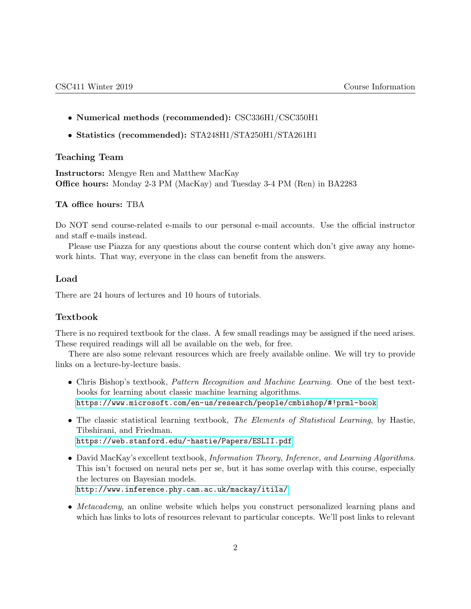- Numerical methods (recommended): CSC336H1/CSC350H1
- Statistics (recommended): STA248H1/STA250H1/STA261H1

## Teaching Team

Instructors: Mengye Ren and Matthew MacKay Office hours: Monday 2-3 PM (MacKay) and Tuesday 3-4 PM (Ren) in BA2283

### TA office hours: TBA

Do NOT send course-related e-mails to our personal e-mail accounts. Use the official instructor and staff e-mails instead.

Please use Piazza for any questions about the course content which don't give away any homework hints. That way, everyone in the class can benefit from the answers.

### Load

There are 24 hours of lectures and 10 hours of tutorials.

### Textbook

There is no required textbook for the class. A few small readings may be assigned if the need arises. These required readings will all be available on the web, for free.

There are also some relevant resources which are freely available online. We will try to provide links on a lecture-by-lecture basis.

- Chris Bishop's textbook, Pattern Recognition and Machine Learning. One of the best textbooks for learning about classic machine learning algorithms. <https://www.microsoft.com/en-us/research/people/cmbishop/#!prml-book>
- The classic statistical learning textbook, The Elements of Statistical Learning, by Hastie, Tibshirani, and Friedman. <https://web.stanford.edu/~hastie/Papers/ESLII.pdf>
- David MacKay's excellent textbook, *Information Theory, Inference, and Learning Algorithms*. This isn't focused on neural nets per se, but it has some overlap with this course, especially the lectures on Bayesian models. <http://www.inference.phy.cam.ac.uk/mackay/itila/>
- Metacademy, an online website which helps you construct personalized learning plans and which has links to lots of resources relevant to particular concepts. We'll post links to relevant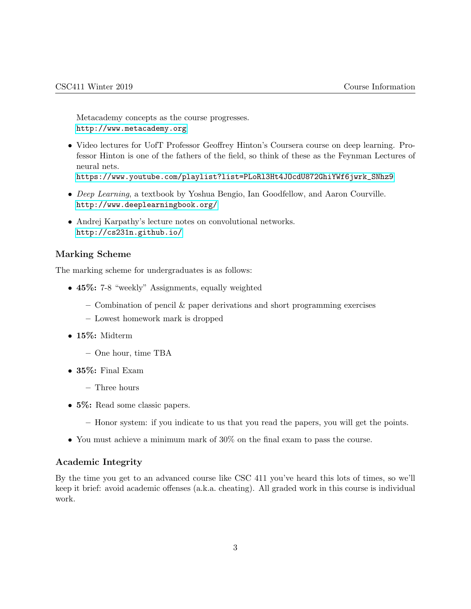Metacademy concepts as the course progresses. <http://www.metacademy.org>

• Video lectures for UofT Professor Geoffrey Hinton's Coursera course on deep learning. Professor Hinton is one of the fathers of the field, so think of these as the Feynman Lectures of neural nets.

[https://www.youtube.com/playlist?list=PLoRl3Ht4JOcdU872GhiYWf6jwrk\\_SNhz9](https://www.youtube.com/playlist?list=PLoRl3Ht4JOcdU872GhiYWf6jwrk_SNhz9)

- Deep Learning, a textbook by Yoshua Bengio, Ian Goodfellow, and Aaron Courville. <http://www.deeplearningbook.org/>
- Andrej Karpathy's lecture notes on convolutional networks. <http://cs231n.github.io/>

# Marking Scheme

The marking scheme for undergraduates is as follows:

- 45%: 7-8 "weekly" Assignments, equally weighted
	- $-$  Combination of pencil  $\&$  paper derivations and short programming exercises
	- Lowest homework mark is dropped
- 15%: Midterm
	- One hour, time TBA
- 35%: Final Exam
	- Three hours
- 5\%: Read some classic papers.
	- Honor system: if you indicate to us that you read the papers, you will get the points.
- You must achieve a minimum mark of 30% on the final exam to pass the course.

### Academic Integrity

By the time you get to an advanced course like CSC 411 you've heard this lots of times, so we'll keep it brief: avoid academic offenses (a.k.a. cheating). All graded work in this course is individual work.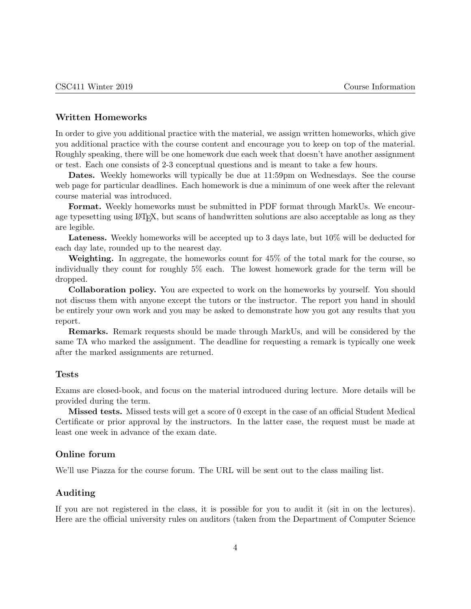### Written Homeworks

In order to give you additional practice with the material, we assign written homeworks, which give you additional practice with the course content and encourage you to keep on top of the material. Roughly speaking, there will be one homework due each week that doesn't have another assignment or test. Each one consists of 2-3 conceptual questions and is meant to take a few hours.

Dates. Weekly homeworks will typically be due at 11:59pm on Wednesdays. See the course web page for particular deadlines. Each homework is due a minimum of one week after the relevant course material was introduced.

Format. Weekly homeworks must be submitted in PDF format through MarkUs. We encourage typesetting using LAT<sub>EX</sub>, but scans of handwritten solutions are also acceptable as long as they are legible.

Lateness. Weekly homeworks will be accepted up to 3 days late, but  $10\%$  will be deducted for each day late, rounded up to the nearest day.

Weighting. In aggregate, the homeworks count for 45% of the total mark for the course, so individually they count for roughly 5% each. The lowest homework grade for the term will be dropped.

Collaboration policy. You are expected to work on the homeworks by yourself. You should not discuss them with anyone except the tutors or the instructor. The report you hand in should be entirely your own work and you may be asked to demonstrate how you got any results that you report.

Remarks. Remark requests should be made through MarkUs, and will be considered by the same TA who marked the assignment. The deadline for requesting a remark is typically one week after the marked assignments are returned.

#### Tests

Exams are closed-book, and focus on the material introduced during lecture. More details will be provided during the term.

Missed tests. Missed tests will get a score of 0 except in the case of an official Student Medical Certificate or prior approval by the instructors. In the latter case, the request must be made at least one week in advance of the exam date.

### Online forum

We'll use Piazza for the course forum. The URL will be sent out to the class mailing list.

### Auditing

If you are not registered in the class, it is possible for you to audit it (sit in on the lectures). Here are the official university rules on auditors (taken from the Department of Computer Science